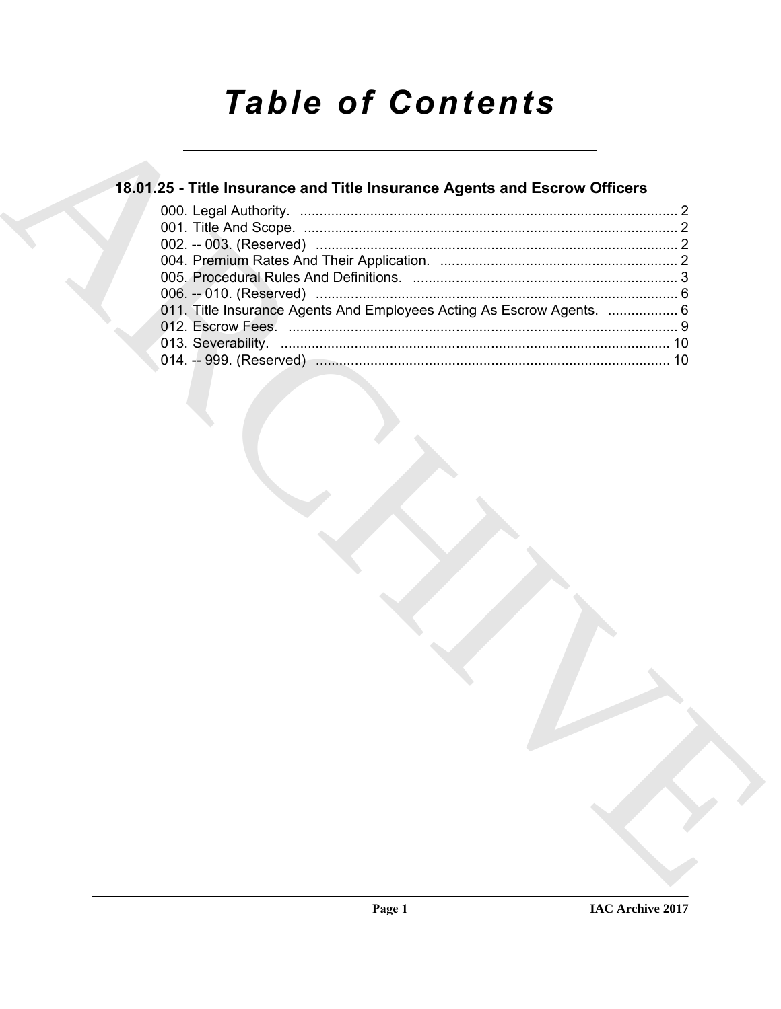# **Table of Contents**

### 18.01.25 - Title Insurance and Title Insurance Agents and Escrow Officers

| 011. Title Insurance Agents And Employees Acting As Escrow Agents.  6 |  |
|-----------------------------------------------------------------------|--|
|                                                                       |  |
|                                                                       |  |
|                                                                       |  |
|                                                                       |  |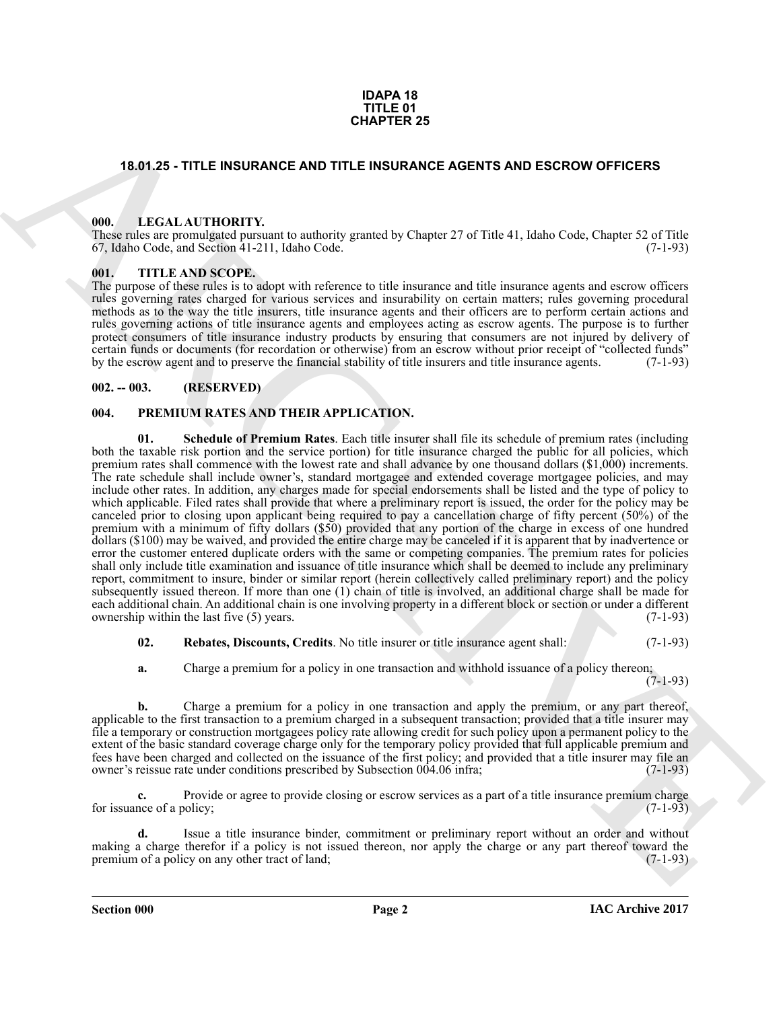#### **IDAPA 18 TITLE 01 CHAPTER 25**

#### <span id="page-1-0"></span>**18.01.25 - TITLE INSURANCE AND TITLE INSURANCE AGENTS AND ESCROW OFFICERS**

#### <span id="page-1-1"></span>**000. LEGAL AUTHORITY.**

These rules are promulgated pursuant to authority granted by Chapter 27 of Title 41, Idaho Code, Chapter 52 of Title 67, Idaho Code, and Section 41-211, Idaho Code. (7-1-93)

#### <span id="page-1-2"></span>**001. TITLE AND SCOPE.**

The purpose of these rules is to adopt with reference to title insurance and title insurance agents and escrow officers rules governing rates charged for various services and insurability on certain matters; rules governing procedural methods as to the way the title insurers, title insurance agents and their officers are to perform certain actions and rules governing actions of title insurance agents and employees acting as escrow agents. The purpose is to further protect consumers of title insurance industry products by ensuring that consumers are not injured by delivery of certain funds or documents (for recordation or otherwise) from an escrow without prior receipt of "collected funds" by the escrow agent and to preserve the financial stability of title insurers and title insurance agents.

#### <span id="page-1-3"></span>**002. -- 003. (RESERVED)**

#### <span id="page-1-7"></span><span id="page-1-5"></span><span id="page-1-4"></span>**004. PREMIUM RATES AND THEIR APPLICATION.**

**CHAPTER 25**<br> **CHAPTER 26**<br> **CHAPTER 26<br>
THE INSURANCE AND ITTLE INSURANCE AGENTS AND ESCRIPY OF THE 26 CHAPTER 26<br>
THE INSURANCE AGENTS AND ESSENCTION (1997)**  $\frac{1}{2}$  **(1997)**  $\frac{1}{2}$  **(1997)**  $\frac{1}{2}$  **(1997)**  $\frac{1}{2}$  **( 01. Schedule of Premium Rates**. Each title insurer shall file its schedule of premium rates (including both the taxable risk portion and the service portion) for title insurance charged the public for all policies, which premium rates shall commence with the lowest rate and shall advance by one thousand dollars (\$1,000) increments. The rate schedule shall include owner's, standard mortgagee and extended coverage mortgagee policies, and may include other rates. In addition, any charges made for special endorsements shall be listed and the type of policy to which applicable. Filed rates shall provide that where a preliminary report is issued, the order for the policy may be canceled prior to closing upon applicant being required to pay a cancellation charge of fifty percent (50%) of the premium with a minimum of fifty dollars (\$50) provided that any portion of the charge in excess of one hundred dollars (\$100) may be waived, and provided the entire charge may be canceled if it is apparent that by inadvertence or error the customer entered duplicate orders with the same or competing companies. The premium rates for policies shall only include title examination and issuance of title insurance which shall be deemed to include any preliminary report, commitment to insure, binder or similar report (herein collectively called preliminary report) and the policy subsequently issued thereon. If more than one (1) chain of title is involved, an additional charge shall be made for each additional chain. An additional chain is one involving property in a different block or section or under a different ownership within the last five (5) years. (7-1-93) ownership within the last five  $(5)$  years.

<span id="page-1-6"></span>**02. Rebates, Discounts, Credits**. No title insurer or title insurance agent shall: (7-1-93)

**a.** Charge a premium for a policy in one transaction and withhold issuance of a policy thereon;

 $(7-1-93)$ 

**b.** Charge a premium for a policy in one transaction and apply the premium, or any part thereof, applicable to the first transaction to a premium charged in a subsequent transaction; provided that a title insurer may file a temporary or construction mortgagees policy rate allowing credit for such policy upon a permanent policy to the extent of the basic standard coverage charge only for the temporary policy provided that full applicable premium and fees have been charged and collected on the issuance of the first policy; and provided that a title insurer may file an owner's reissue rate under conditions prescribed by Subsection 004.06 infra; owner's reissue rate under conditions prescribed by Subsection 004.06 infra;

**c.** Provide or agree to provide closing or escrow services as a part of a title insurance premium charge nee of a policy: (7-1-93) for issuance of a policy;

**d.** Issue a title insurance binder, commitment or preliminary report without an order and without making a charge therefor if a policy is not issued thereon, nor apply the charge or any part thereof toward the premium of a policy on any other tract of land; (7-1-93) premium of a policy on any other tract of land;

**Section 000 Page 2**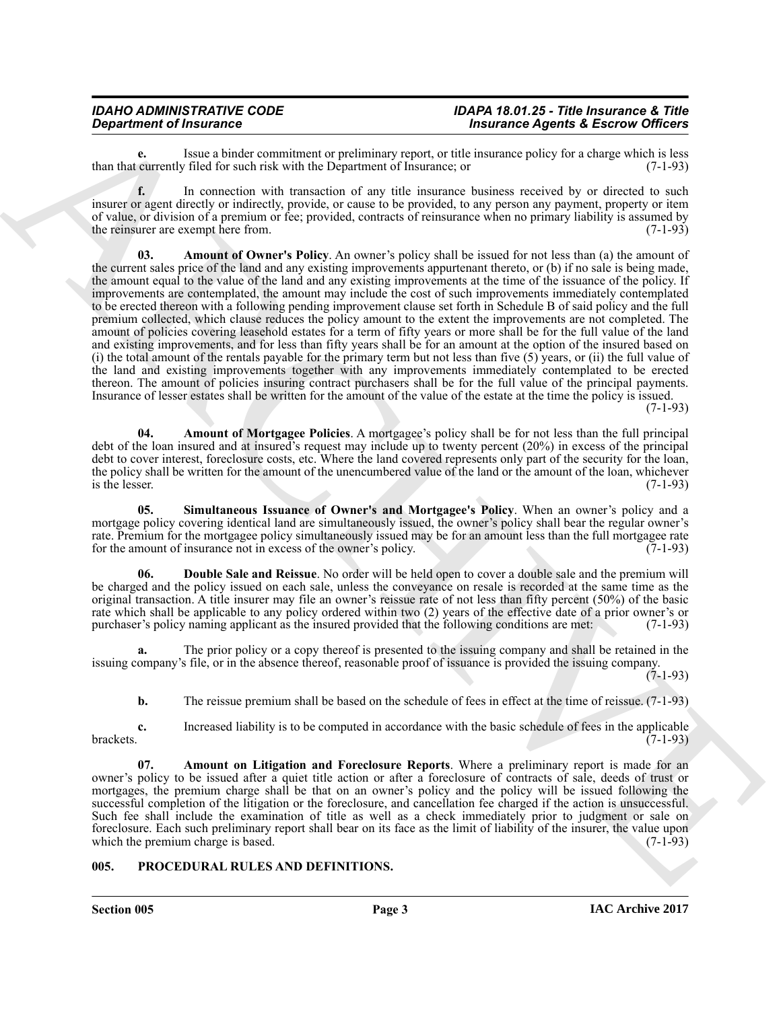## *IDAHO ADMINISTRATIVE CODE IDAPA 18.01.25 - Title Insurance & Title*

**e.** Issue a binder commitment or preliminary report, or title insurance policy for a charge which is less currently filed for such risk with the Department of Insurance: or (7-1-93) than that currently filed for such risk with the Department of Insurance; or

<span id="page-2-3"></span>**f.** In connection with transaction of any title insurance business received by or directed to such insurer or agent directly or indirectly, provide, or cause to be provided, to any person any payment, property or item of value, or division of a premium or fee; provided, contracts of reinsurance when no primary liability is assumed by the reinsurer are exempt here from. (7-1-93) the reinsurer are exempt here from.

**Department of heatens the sixtens in the sixtens of the sixtens of the sixtens of the sixtens of the sixtens of the sixtens of the sixtens of the sixtens of the sixtens of the sixtens of the sixtens of the sixtens of the 03. Amount of Owner's Policy**. An owner's policy shall be issued for not less than (a) the amount of the current sales price of the land and any existing improvements appurtenant thereto, or (b) if no sale is being made, the amount equal to the value of the land and any existing improvements at the time of the issuance of the policy. If improvements are contemplated, the amount may include the cost of such improvements immediately contemplated to be erected thereon with a following pending improvement clause set forth in Schedule B of said policy and the full premium collected, which clause reduces the policy amount to the extent the improvements are not completed. The amount of policies covering leasehold estates for a term of fifty years or more shall be for the full value of the land and existing improvements, and for less than fifty years shall be for an amount at the option of the insured based on (i) the total amount of the rentals payable for the primary term but not less than five  $(5)$  years, or (ii) the full value of the land and existing improvements together with any improvements immediately contemplated to be erected thereon. The amount of policies insuring contract purchasers shall be for the full value of the principal payments. Insurance of lesser estates shall be written for the amount of the value of the estate at the time the policy is issued.

 $(7-1-93)$ 

<span id="page-2-2"></span>**04. Amount of Mortgagee Policies**. A mortgagee's policy shall be for not less than the full principal debt of the loan insured and at insured's request may include up to twenty percent (20%) in excess of the principal debt to cover interest, foreclosure costs, etc. Where the land covered represents only part of the security for the loan, the policy shall be written for the amount of the unencumbered value of the land or the amount of the loan, whichever is the lesser. (7-1-93) is the lesser.  $(7-1-93)$ 

<span id="page-2-6"></span>**05. Simultaneous Issuance of Owner's and Mortgagee's Policy**. When an owner's policy and a mortgage policy covering identical land are simultaneously issued, the owner's policy shall bear the regular owner's rate. Premium for the mortgagee policy simultaneously issued may be for an amount less than the full mortgagee rate<br>for the amount of insurance not in excess of the owner's policy. (7-1-93) for the amount of insurance not in excess of the owner's policy.

<span id="page-2-5"></span>**06. Double Sale and Reissue**. No order will be held open to cover a double sale and the premium will be charged and the policy issued on each sale, unless the conveyance on resale is recorded at the same time as the original transaction. A title insurer may file an owner's reissue rate of not less than fifty percent (50%) of the basic rate which shall be applicable to any policy ordered within two (2) years of the effective date of a prior owner's or purchaser's policy naming applicant as the insured provided that the following conditions are met: (7-1purchaser's policy naming applicant as the insured provided that the following conditions are met:

**a.** The prior policy or a copy thereof is presented to the issuing company and shall be retained in the issuing company's file, or in the absence thereof, reasonable proof of issuance is provided the issuing company.

 $(7-1-93)$ 

<span id="page-2-4"></span>**b.** The reissue premium shall be based on the schedule of fees in effect at the time of reissue. (7-1-93)

**c.** Increased liability is to be computed in accordance with the basic schedule of fees in the applicable (7-1-93) brackets.  $(7-1-93)$ 

**07. Amount on Litigation and Foreclosure Reports**. Where a preliminary report is made for an owner's policy to be issued after a quiet title action or after a foreclosure of contracts of sale, deeds of trust or mortgages, the premium charge shall be that on an owner's policy and the policy will be issued following the successful completion of the litigation or the foreclosure, and cancellation fee charged if the action is unsuccessful. Such fee shall include the examination of title as well as a check immediately prior to judgment or sale on foreclosure. Each such preliminary report shall bear on its face as the limit of liability of the insurer, the value upon which the premium charge is based.

#### <span id="page-2-1"></span><span id="page-2-0"></span>**005. PROCEDURAL RULES AND DEFINITIONS.**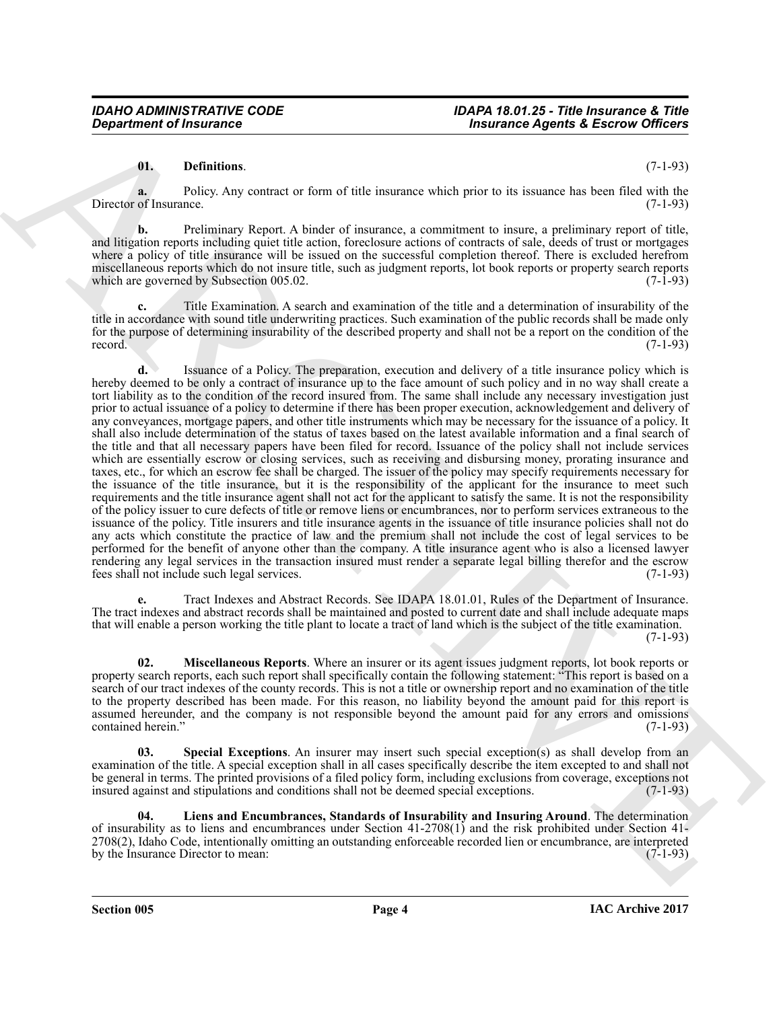#### **01. Definitions**. (7-1-93)

**a.** Policy. Any contract or form of title insurance which prior to its issuance has been filed with the Director of Insurance. (7-1-93)

**b.** Preliminary Report. A binder of insurance, a commitment to insure, a preliminary report of title, and litigation reports including quiet title action, foreclosure actions of contracts of sale, deeds of trust or mortgages where a policy of title insurance will be issued on the successful completion thereof. There is excluded herefrom miscellaneous reports which do not insure title, such as judgment reports, lot book reports or property search reports which are governed by Subsection 005.02. which are governed by Subsection 005.02.

**c.** Title Examination. A search and examination of the title and a determination of insurability of the title in accordance with sound title underwriting practices. Such examination of the public records shall be made only for the purpose of determining insurability of the described property and shall not be a report on the condition of the record. (7-1-93) record.  $(7-1-93)$ 

**Department of Fraumence**<br> **Channisms**<br> **Channisms**<br> **Channisms**<br> **Channisms**<br> **Channisms**<br> **Channisms**<br> **Channisms**<br> **Channisms**<br> **Channisms**<br> **Channisms**<br> **Channisms**<br> **Channisms**<br> **Channisms**<br> **Consider the properties d.** Issuance of a Policy. The preparation, execution and delivery of a title insurance policy which is hereby deemed to be only a contract of insurance up to the face amount of such policy and in no way shall create a tort liability as to the condition of the record insured from. The same shall include any necessary investigation just prior to actual issuance of a policy to determine if there has been proper execution, acknowledgement and delivery of any conveyances, mortgage papers, and other title instruments which may be necessary for the issuance of a policy. It shall also include determination of the status of taxes based on the latest available information and a final search of the title and that all necessary papers have been filed for record. Issuance of the policy shall not include services which are essentially escrow or closing services, such as receiving and disbursing money, prorating insurance and taxes, etc., for which an escrow fee shall be charged. The issuer of the policy may specify requirements necessary for the issuance of the title insurance, but it is the responsibility of the applicant for the insurance to meet such requirements and the title insurance agent shall not act for the applicant to satisfy the same. It is not the responsibility of the policy issuer to cure defects of title or remove liens or encumbrances, nor to perform services extraneous to the issuance of the policy. Title insurers and title insurance agents in the issuance of title insurance policies shall not do any acts which constitute the practice of law and the premium shall not include the cost of legal services to be performed for the benefit of anyone other than the company. A title insurance agent who is also a licensed lawyer rendering any legal services in the transaction insured must render a separate legal billing therefor and the escrow fees shall not include such legal services. (7-1-93)

**e.** Tract Indexes and Abstract Records. See IDAPA 18.01.01, Rules of the Department of Insurance. The tract indexes and abstract records shall be maintained and posted to current date and shall include adequate maps that will enable a person working the title plant to locate a tract of land which is the subject of the title examination.

(7-1-93)

<span id="page-3-1"></span>**02. Miscellaneous Reports**. Where an insurer or its agent issues judgment reports, lot book reports or property search reports, each such report shall specifically contain the following statement: "This report is based on a search of our tract indexes of the county records. This is not a title or ownership report and no examination of the title to the property described has been made. For this reason, no liability beyond the amount paid for this report is assumed hereunder, and the company is not responsible beyond the amount paid for any errors and omissions contained herein." (7-1-93) contained herein.'

<span id="page-3-2"></span>**Special Exceptions**. An insurer may insert such special exception(s) as shall develop from an examination of the title. A special exception shall in all cases specifically describe the item excepted to and shall not be general in terms. The printed provisions of a filed policy form, including exclusions from coverage, exceptions not insured against and stipulations and conditions shall not be deemed special exceptions. (7-1-93) insured against and stipulations and conditions shall not be deemed special exceptions.

<span id="page-3-0"></span>**04. Liens and Encumbrances, Standards of Insurability and Insuring Around**. The determination of insurability as to liens and encumbrances under Section 41-2708(1) and the risk prohibited under Section 41- 2708(2), Idaho Code, intentionally omitting an outstanding enforceable recorded lien or encumbrance, are interpreted by the Insurance Director to mean: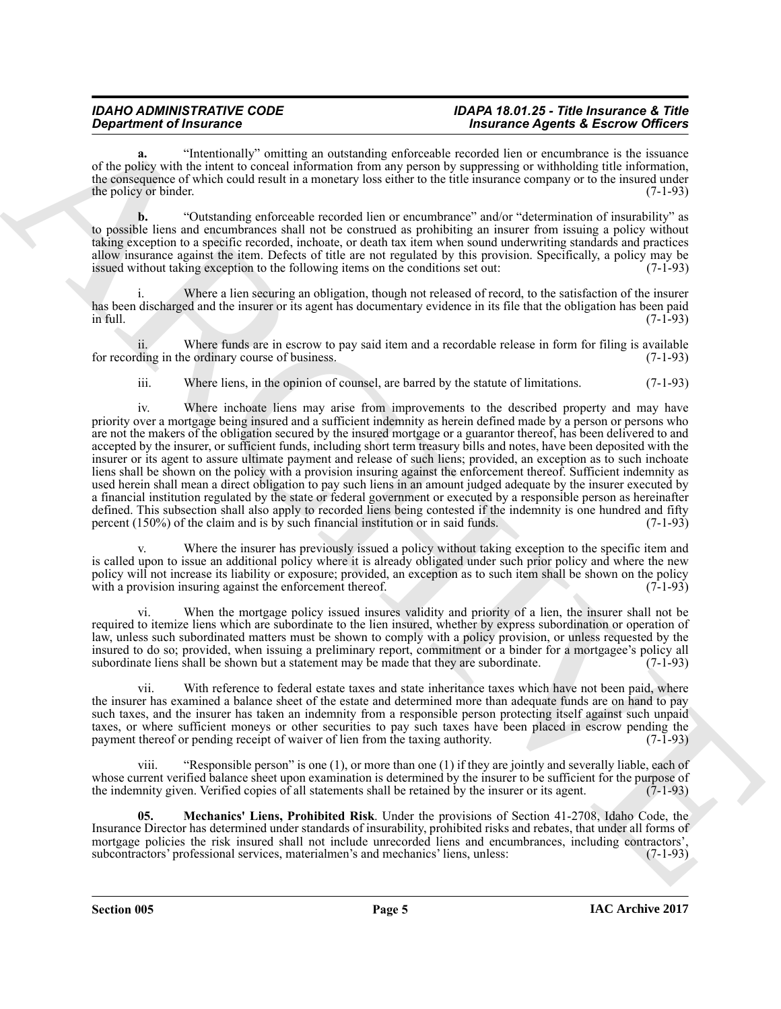#### *IDAHO ADMINISTRATIVE CODE IDAPA 18.01.25 - Title Insurance & Title* **Insurance Agents & Escrow Officers**

**a.** "Intentionally" omitting an outstanding enforceable recorded lien or encumbrance is the issuance of the policy with the intent to conceal information from any person by suppressing or withholding title information, the consequence of which could result in a monetary loss either to the title insurance company or to the insured under the policy or binder.  $(7-1-93)$ 

**b.** "Outstanding enforceable recorded lien or encumbrance" and/or "determination of insurability" as to possible liens and encumbrances shall not be construed as prohibiting an insurer from issuing a policy without taking exception to a specific recorded, inchoate, or death tax item when sound underwriting standards and practices allow insurance against the item. Defects of title are not regulated by this provision. Specifically, a policy may be issued without taking exception to the following items on the conditions set out: (7-1-93)

Where a lien securing an obligation, though not released of record, to the satisfaction of the insurer has been discharged and the insurer or its agent has documentary evidence in its file that the obligation has been paid<br>(7-1-93) in full.  $(7-1-93)$ 

ii. Where funds are in escrow to pay said item and a recordable release in form for filing is available for recording in the ordinary course of business.

iii. Where liens, in the opinion of counsel, are barred by the statute of limitations. (7-1-93)

**Construent of fraction of the signal of the signal of the signal of the signal of the signal of the signal of the signal of the signal of the signal of the signal of the signal of the signal of the signal of the signal o** iv. Where inchoate liens may arise from improvements to the described property and may have priority over a mortgage being insured and a sufficient indemnity as herein defined made by a person or persons who are not the makers of the obligation secured by the insured mortgage or a guarantor thereof, has been delivered to and accepted by the insurer, or sufficient funds, including short term treasury bills and notes, have been deposited with the insurer or its agent to assure ultimate payment and release of such liens; provided, an exception as to such inchoate liens shall be shown on the policy with a provision insuring against the enforcement thereof. Sufficient indemnity as used herein shall mean a direct obligation to pay such liens in an amount judged adequate by the insurer executed by a financial institution regulated by the state or federal government or executed by a responsible person as hereinafter defined. This subsection shall also apply to recorded liens being contested if the indemnity is one hundred and fifty percent (150%) of the claim and is by such financial institution or in said funds. (7-1-93)

Where the insurer has previously issued a policy without taking exception to the specific item and is called upon to issue an additional policy where it is already obligated under such prior policy and where the new policy will not increase its liability or exposure; provided, an exception as to such item shall be shown on the policy with a provision insuring against the enforcement thereof. (7-1-93) with a provision insuring against the enforcement thereof.

When the mortgage policy issued insures validity and priority of a lien, the insurer shall not be required to itemize liens which are subordinate to the lien insured, whether by express subordination or operation of law, unless such subordinated matters must be shown to comply with a policy provision, or unless requested by the insured to do so; provided, when issuing a preliminary report, commitment or a binder for a mortgagee's policy all subordinate liens shall be shown but a statement may be made that they are subordinate. (7-1-93) subordinate liens shall be shown but a statement may be made that they are subordinate.

vii. With reference to federal estate taxes and state inheritance taxes which have not been paid, where the insurer has examined a balance sheet of the estate and determined more than adequate funds are on hand to pay such taxes, and the insurer has taken an indemnity from a responsible person protecting itself against such unpaid taxes, or where sufficient moneys or other securities to pay such taxes have been placed in escrow pending the payment thereof or pending receipt of waiver of lien from the taxing authority. (7-1-93) payment thereof or pending receipt of waiver of lien from the taxing authority.

viii. "Responsible person" is one (1), or more than one (1) if they are jointly and severally liable, each of whose current verified balance sheet upon examination is determined by the insurer to be sufficient for the purpose of the indemnity given. Verified copies of all statements shall be retained by the insurer or its agent. ( the indemnity given. Verified copies of all statements shall be retained by the insurer or its agent.

<span id="page-4-0"></span>**05. Mechanics' Liens, Prohibited Risk**. Under the provisions of Section 41-2708, Idaho Code, the Insurance Director has determined under standards of insurability, prohibited risks and rebates, that under all forms of mortgage policies the risk insured shall not include unrecorded liens and encumbrances, including contractors', subcontractors' professional services, materialmen's and mechanics' liens, unless: (7-1-93)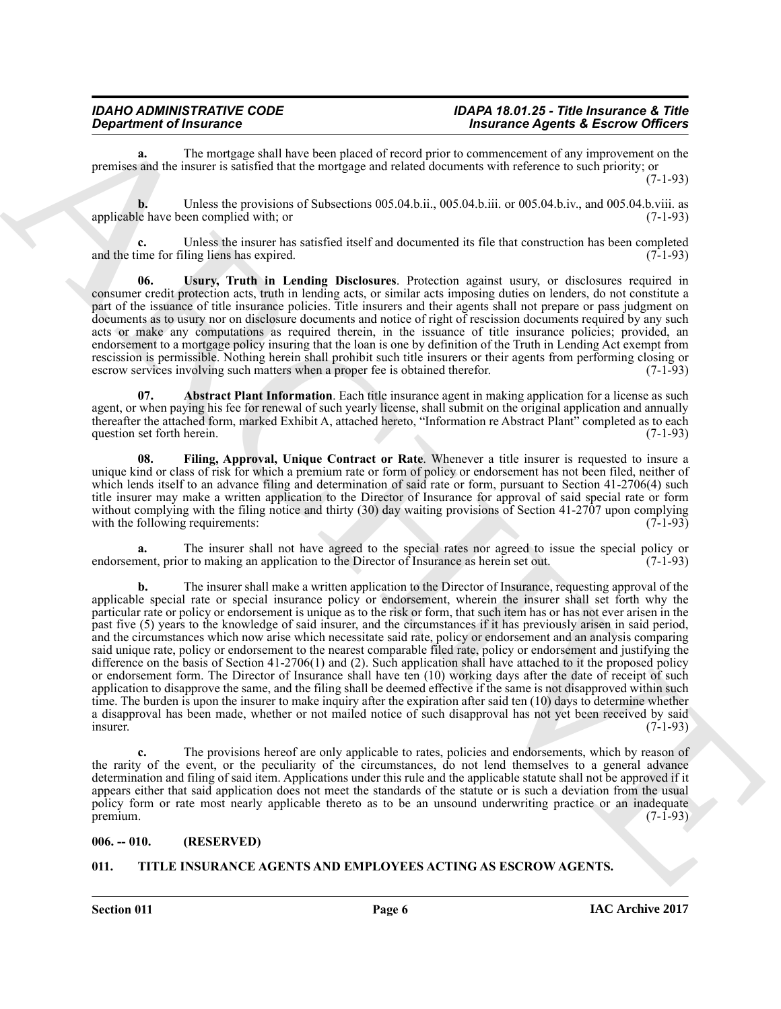**a.** The mortgage shall have been placed of record prior to commencement of any improvement on the premises and the insurer is satisfied that the mortgage and related documents with reference to such priority; or  $(7-1-93)$ 

**b.** Unless the provisions of Subsections 005.04.b.ii., 005.04.b.iii. or 005.04.b.iv., and 005.04.b.viii. as applicable have been complied with; or (7-1-93)

**c.** Unless the insurer has satisfied itself and documented its file that construction has been completed in the for filing liens has expired. (7-1-93) and the time for filing liens has expired.

<span id="page-5-4"></span>**06. Usury, Truth in Lending Disclosures**. Protection against usury, or disclosures required in consumer credit protection acts, truth in lending acts, or similar acts imposing duties on lenders, do not constitute a part of the issuance of title insurance policies. Title insurers and their agents shall not prepare or pass judgment on documents as to usury nor on disclosure documents and notice of right of rescission documents required by any such acts or make any computations as required therein, in the issuance of title insurance policies; provided, an endorsement to a mortgage policy insuring that the loan is one by definition of the Truth in Lending Act exempt from rescission is permissible. Nothing herein shall prohibit such title insurers or their agents from performing closing or escrow services involving such matters when a proper fee is obtained therefor. (7-1-93) escrow services involving such matters when a proper fee is obtained therefor.

<span id="page-5-2"></span>**07. Abstract Plant Information**. Each title insurance agent in making application for a license as such agent, or when paying his fee for renewal of such yearly license, shall submit on the original application and annually thereafter the attached form, marked Exhibit A, attached hereto, "Information re Abstract Plant" completed as to each question set forth herein. (7-1-93) question set forth herein.

<span id="page-5-3"></span>**08. Filing, Approval, Unique Contract or Rate**. Whenever a title insurer is requested to insure a unique kind or class of risk for which a premium rate or form of policy or endorsement has not been filed, neither of which lends itself to an advance filing and determination of said rate or form, pursuant to Section 41-2706(4) such title insurer may make a written application to the Director of Insurance for approval of said special rate or form without complying with the filing notice and thirty (30) day waiting provisions of Section 41-2707 upon complying with the following requirements:  $(7-1-93)$ with the following requirements:

**a.** The insurer shall not have agreed to the special rates nor agreed to issue the special policy or nent, prior to making an application to the Director of Insurance as herein set out. (7-1-93) endorsement, prior to making an application to the Director of Insurance as herein set out.

*Department of Insurance Security and ARCHIVES ARCHIVES CONSULTING THE CONSULTING CONSULTING CONSULTING CONSULTING CONSULTING CONSULTING CONSULTING CONSULTING CONSULTING CONSULTING CONSULTING CONSULTING CONSULTING CONSUL* **b.** The insurer shall make a written application to the Director of Insurance, requesting approval of the applicable special rate or special insurance policy or endorsement, wherein the insurer shall set forth why the particular rate or policy or endorsement is unique as to the risk or form, that such item has or has not ever arisen in the past five (5) years to the knowledge of said insurer, and the circumstances if it has previously arisen in said period, and the circumstances which now arise which necessitate said rate, policy or endorsement and an analysis comparing said unique rate, policy or endorsement to the nearest comparable filed rate, policy or endorsement and justifying the difference on the basis of Section 41-2706(1) and (2). Such application shall have attached to it the proposed policy or endorsement form. The Director of Insurance shall have ten (10) working days after the date of receipt of such application to disapprove the same, and the filing shall be deemed effective if the same is not disapproved within such time. The burden is upon the insurer to make inquiry after the expiration after said ten (10) days to determine whether a disapproval has been made, whether or not mailed notice of such disapproval has not yet been received by said<br>(7-1-93)  $\blacksquare$ insurer. (7-1-93)

**c.** The provisions hereof are only applicable to rates, policies and endorsements, which by reason of the rarity of the event, or the peculiarity of the circumstances, do not lend themselves to a general advance determination and filing of said item. Applications under this rule and the applicable statute shall not be approved if it appears either that said application does not meet the standards of the statute or is such a deviation from the usual policy form or rate most nearly applicable thereto as to be an unsound underwriting practice or an inadequate premium. (7-1-93)  $\mu$  premium.  $(7-1-93)$ 

#### <span id="page-5-0"></span>**006. -- 010. (RESERVED)**

#### <span id="page-5-5"></span><span id="page-5-1"></span>**011. TITLE INSURANCE AGENTS AND EMPLOYEES ACTING AS ESCROW AGENTS.**

**Section 011 Page 6**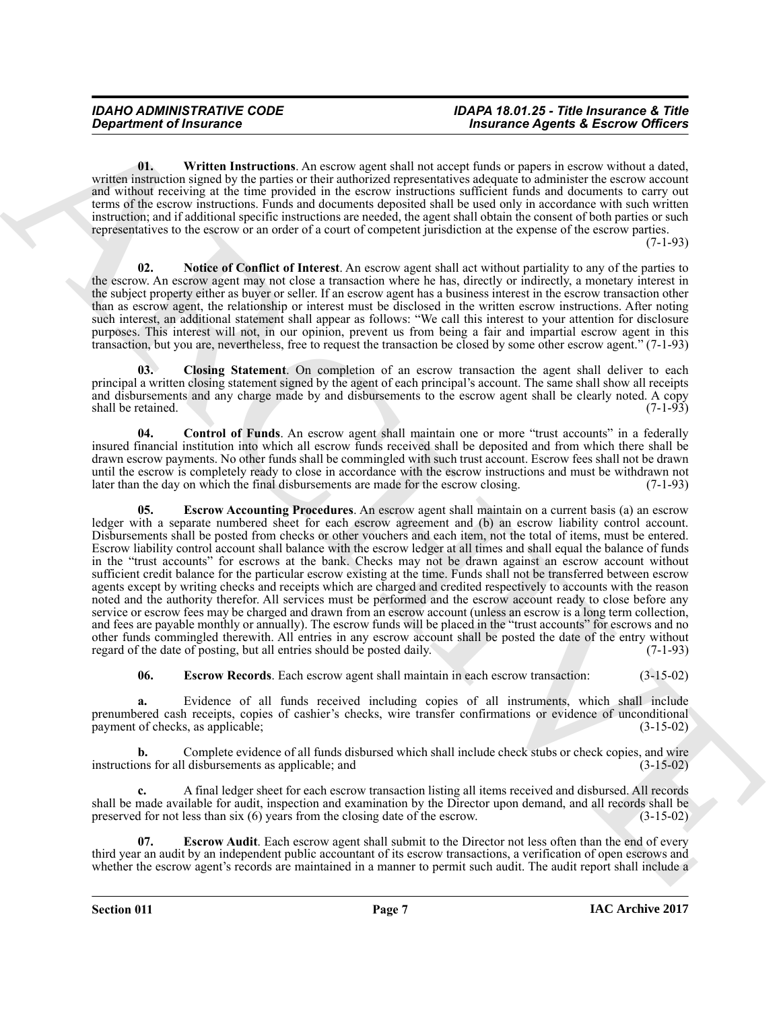<span id="page-6-6"></span>**01. Written Instructions**. An escrow agent shall not accept funds or papers in escrow without a dated, written instruction signed by the parties or their authorized representatives adequate to administer the escrow account and without receiving at the time provided in the escrow instructions sufficient funds and documents to carry out terms of the escrow instructions. Funds and documents deposited shall be used only in accordance with such written instruction; and if additional specific instructions are needed, the agent shall obtain the consent of both parties or such representatives to the escrow or an order of a court of competent jurisdiction at the expense of the escrow parties.

 $(7-1-93)$ 

<span id="page-6-5"></span>**02. Notice of Conflict of Interest**. An escrow agent shall act without partiality to any of the parties to the escrow. An escrow agent may not close a transaction where he has, directly or indirectly, a monetary interest in the subject property either as buyer or seller. If an escrow agent has a business interest in the escrow transaction other than as escrow agent, the relationship or interest must be disclosed in the written escrow instructions. After noting such interest, an additional statement shall appear as follows: "We call this interest to your attention for disclosure purposes. This interest will not, in our opinion, prevent us from being a fair and impartial escrow agent in this transaction, but you are, nevertheless, free to request the transaction be closed by some other escrow agent." (7-1-93)

<span id="page-6-0"></span>**03. Closing Statement**. On completion of an escrow transaction the agent shall deliver to each principal a written closing statement signed by the agent of each principal's account. The same shall show all receipts and disbursements and any charge made by and disbursements to the escrow agent shall be clearly noted. A copy shall be retained. (7-1-93) shall be retained.

<span id="page-6-2"></span><span id="page-6-1"></span>**04. Control of Funds**. An escrow agent shall maintain one or more "trust accounts" in a federally insured financial institution into which all escrow funds received shall be deposited and from which there shall be drawn escrow payments. No other funds shall be commingled with such trust account. Escrow fees shall not be drawn until the escrow is completely ready to close in accordance with the escrow instructions and must be withdrawn not later than the day on which the final disbursements are made for the escrow closing. (7-1-93) later than the day on which the final disbursements are made for the escrow closing.

*Constrainer* of Francesco Constrainer Constrainer Constrainer Constrainer Constrainer Constrainer Constrainer Constrainer Constrainer Constrainer Constrainer Constrainer Constrainer Constrainer Constrainer Constrainer **05. Escrow Accounting Procedures**. An escrow agent shall maintain on a current basis (a) an escrow ledger with a separate numbered sheet for each escrow agreement and (b) an escrow liability control account. Disbursements shall be posted from checks or other vouchers and each item, not the total of items, must be entered. Escrow liability control account shall balance with the escrow ledger at all times and shall equal the balance of funds in the "trust accounts" for escrows at the bank. Checks may not be drawn against an escrow account without sufficient credit balance for the particular escrow existing at the time. Funds shall not be transferred between escrow agents except by writing checks and receipts which are charged and credited respectively to accounts with the reason noted and the authority therefor. All services must be performed and the escrow account ready to close before any service or escrow fees may be charged and drawn from an escrow account (unless an escrow is a long term collection, and fees are payable monthly or annually). The escrow funds will be placed in the "trust accounts" for escrows and no other funds commingled therewith. All entries in any escrow account shall be posted the date of the entry without regard of the date of posting, but all entries should be posted daily. (7-1-93) regard of the date of posting, but all entries should be posted daily.

<span id="page-6-4"></span>**06. Escrow Records**. Each escrow agent shall maintain in each escrow transaction: (3-15-02)

**a.** Evidence of all funds received including copies of all instruments, which shall include prenumbered cash receipts, copies of cashier's checks, wire transfer confirmations or evidence of unconditional payment of checks, as applicable; (3-15-02) payment of checks, as applicable;

**b.** Complete evidence of all funds disbursed which shall include check stubs or check copies, and wire instructions for all disbursements as applicable; and (3-15-02)

**c.** A final ledger sheet for each escrow transaction listing all items received and disbursed. All records shall be made available for audit, inspection and examination by the Director upon demand, and all records shall be preserved for not less than six (6) years from the closing date of the escrow. (3-15-02) preserved for not less than  $s$ ix  $(6)$  years from the closing date of the escrow.

<span id="page-6-3"></span>**07. Escrow Audit**. Each escrow agent shall submit to the Director not less often than the end of every third year an audit by an independent public accountant of its escrow transactions, a verification of open escrows and whether the escrow agent's records are maintained in a manner to permit such audit. The audit report shall include a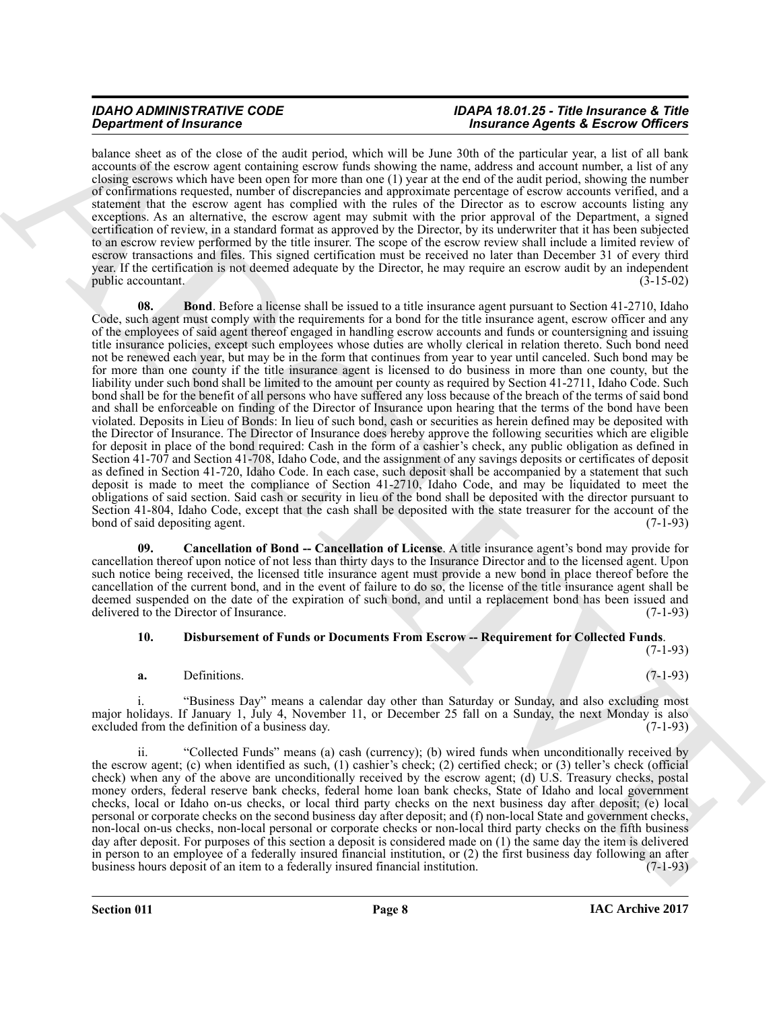#### *IDAHO ADMINISTRATIVE CODE IDAPA 18.01.25 - Title Insurance & Title* **Insurance Agents & Escrow Officers**

<span id="page-7-0"></span>balance sheet as of the close of the audit period, which will be June 30th of the particular year, a list of all bank accounts of the escrow agent containing escrow funds showing the name, address and account number, a list of any closing escrows which have been open for more than one (1) year at the end of the audit period, showing the number of confirmations requested, number of discrepancies and approximate percentage of escrow accounts verified, and a statement that the escrow agent has complied with the rules of the Director as to escrow accounts listing any exceptions. As an alternative, the escrow agent may submit with the prior approval of the Department, a signed certification of review, in a standard format as approved by the Director, by its underwriter that it has been subjected to an escrow review performed by the title insurer. The scope of the escrow review shall include a limited review of escrow transactions and files. This signed certification must be received no later than December 31 of every third year. If the certification is not deemed adequate by the Director, he may require an escrow audit by an independent public accountant. (3-15-02)

**Strainer of Francesco Chemistrics** which will be the 200 and the parameter of particles and the character of the character of the character of the character of the character of the character of the character of the chara **08. Bond**. Before a license shall be issued to a title insurance agent pursuant to Section 41-2710, Idaho Code, such agent must comply with the requirements for a bond for the title insurance agent, escrow officer and any of the employees of said agent thereof engaged in handling escrow accounts and funds or countersigning and issuing title insurance policies, except such employees whose duties are wholly clerical in relation thereto. Such bond need not be renewed each year, but may be in the form that continues from year to year until canceled. Such bond may be for more than one county if the title insurance agent is licensed to do business in more than one county, but the liability under such bond shall be limited to the amount per county as required by Section 41-2711, Idaho Code. Such bond shall be for the benefit of all persons who have suffered any loss because of the breach of the terms of said bond and shall be enforceable on finding of the Director of Insurance upon hearing that the terms of the bond have been violated. Deposits in Lieu of Bonds: In lieu of such bond, cash or securities as herein defined may be deposited with the Director of Insurance. The Director of Insurance does hereby approve the following securities which are eligible for deposit in place of the bond required: Cash in the form of a cashier's check, any public obligation as defined in Section 41-707 and Section 41-708, Idaho Code, and the assignment of any savings deposits or certificates of deposit as defined in Section 41-720, Idaho Code. In each case, such deposit shall be accompanied by a statement that such deposit is made to meet the compliance of Section 41-2710, Idaho Code, and may be liquidated to meet the obligations of said section. Said cash or security in lieu of the bond shall be deposited with the director pursuant to Section 41-804, Idaho Code, except that the cash shall be deposited with the state treasurer for the account of the bond of said depositing agent. (7-1-93) bond of said depositing agent.

<span id="page-7-1"></span>**09. Cancellation of Bond -- Cancellation of License**. A title insurance agent's bond may provide for cancellation thereof upon notice of not less than thirty days to the Insurance Director and to the licensed agent. Upon such notice being received, the licensed title insurance agent must provide a new bond in place thereof before the cancellation of the current bond, and in the event of failure to do so, the license of the title insurance agent shall be deemed suspended on the date of the expiration of such bond, and until a replacement bond has been issued and delivered to the Director of Insurance. (7-1-93)

#### <span id="page-7-2"></span>**10. Disbursement of Funds or Documents From Escrow -- Requirement for Collected Funds**.

(7-1-93)

#### **a.** Definitions. (7-1-93)

i. "Business Day" means a calendar day other than Saturday or Sunday, and also excluding most major holidays. If January 1, July 4, November 11, or December 25 fall on a Sunday, the next Monday is also excluded from the definition of a business day. (7-1-93) excluded from the definition of a business day.

"Collected Funds" means (a) cash (currency); (b) wired funds when unconditionally received by the escrow agent; (c) when identified as such, (1) cashier's check; (2) certified check; or (3) teller's check (official check) when any of the above are unconditionally received by the escrow agent; (d) U.S. Treasury checks, postal money orders, federal reserve bank checks, federal home loan bank checks, State of Idaho and local government checks, local or Idaho on-us checks, or local third party checks on the next business day after deposit; (e) local personal or corporate checks on the second business day after deposit; and (f) non-local State and government checks, non-local on-us checks, non-local personal or corporate checks or non-local third party checks on the fifth business day after deposit. For purposes of this section a deposit is considered made on (1) the same day the item is delivered in person to an employee of a federally insured financial institution, or (2) the first business day following an after business hours deposit of an item to a federally insured financial institution.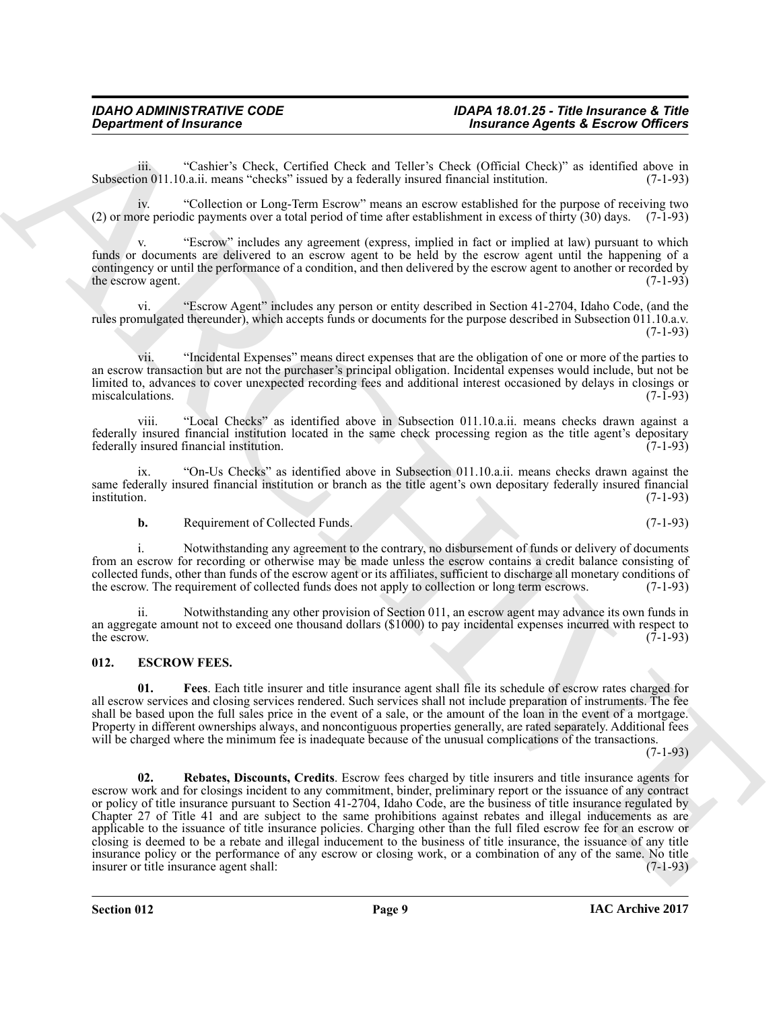iii. "Cashier's Check, Certified Check and Teller's Check (Official Check)" as identified above in on 011.10.a.ii. means "checks" issued by a federally insured financial institution. (7-1-93) Subsection 011.10.a.ii. means "checks" issued by a federally insured financial institution.

iv. "Collection or Long-Term Escrow" means an escrow established for the purpose of receiving two (2) or more periodic payments over a total period of time after establishment in excess of thirty (30) days. (7-1-93)

v. "Escrow" includes any agreement (express, implied in fact or implied at law) pursuant to which funds or documents are delivered to an escrow agent to be held by the escrow agent until the happening of a contingency or until the performance of a condition, and then delivered by the escrow agent to another or recorded by the escrow agent. (7-1-93) the escrow agent.

vi. "Escrow Agent" includes any person or entity described in Section 41-2704, Idaho Code, (and the rules promulgated thereunder), which accepts funds or documents for the purpose described in Subsection 011.10.a.v. (7-1-93)

vii. "Incidental Expenses" means direct expenses that are the obligation of one or more of the parties to an escrow transaction but are not the purchaser's principal obligation. Incidental expenses would include, but not be limited to, advances to cover unexpected recording fees and additional interest occasioned by delays in closings or miscalculations. (7-1-93) miscalculations.

viii. "Local Checks" as identified above in Subsection 011.10.a.ii. means checks drawn against a federally insured financial institution located in the same check processing region as the title agent's depositary federally insured financial institution.

ix. "On-Us Checks" as identified above in Subsection 011.10.a.ii. means checks drawn against the same federally insured financial institution or branch as the title agent's own depositary federally insured financial institution. (7-1-93) institution. (7-1-93)

**b.** Requirement of Collected Funds. (7-1-93)

i. Notwithstanding any agreement to the contrary, no disbursement of funds or delivery of documents from an escrow for recording or otherwise may be made unless the escrow contains a credit balance consisting of collected funds, other than funds of the escrow agent or its affiliates, sufficient to discharge all monetary conditions of the escrow. The requirement of collected funds does not apply to collection or long term escrows. the escrow. The requirement of collected funds does not apply to collection or long term escrows.

ii. Notwithstanding any other provision of Section 011, an escrow agent may advance its own funds in an aggregate amount not to exceed one thousand dollars (\$1000) to pay incidental expenses incurred with respect to the escrow. (7-1-93) the escrow.  $(7-1-93)$ 

#### <span id="page-8-1"></span><span id="page-8-0"></span>**012. ESCROW FEES.**

<span id="page-8-3"></span><span id="page-8-2"></span>**01. Fees**. Each title insurer and title insurance agent shall file its schedule of escrow rates charged for all escrow services and closing services rendered. Such services shall not include preparation of instruments. The fee shall be based upon the full sales price in the event of a sale, or the amount of the loan in the event of a mortgage. Property in different ownerships always, and noncontiguous properties generally, are rated separately. Additional fees will be charged where the minimum fee is inadequate because of the unusual complications of the transactions.

 $(7-1-93)$ 

**Considered of Francesco Constant Constant Check and Tubes Constant Check in the second of Francesco Append & Excess when**  $\alpha$  **Constant Check in the second of Francesco Append & Excess when**  $\alpha$  **Constant Check in the seco 02. Rebates, Discounts, Credits**. Escrow fees charged by title insurers and title insurance agents for escrow work and for closings incident to any commitment, binder, preliminary report or the issuance of any contract or policy of title insurance pursuant to Section 41-2704, Idaho Code, are the business of title insurance regulated by Chapter 27 of Title 41 and are subject to the same prohibitions against rebates and illegal inducements as are applicable to the issuance of title insurance policies. Charging other than the full filed escrow fee for an escrow or closing is deemed to be a rebate and illegal inducement to the business of title insurance, the issuance of any title insurance policy or the performance of any escrow or closing work, or a combination of any of the same. No title insurance agent shall: (7-1-93) insurer or title insurance agent shall:

**Section 012 Page 9**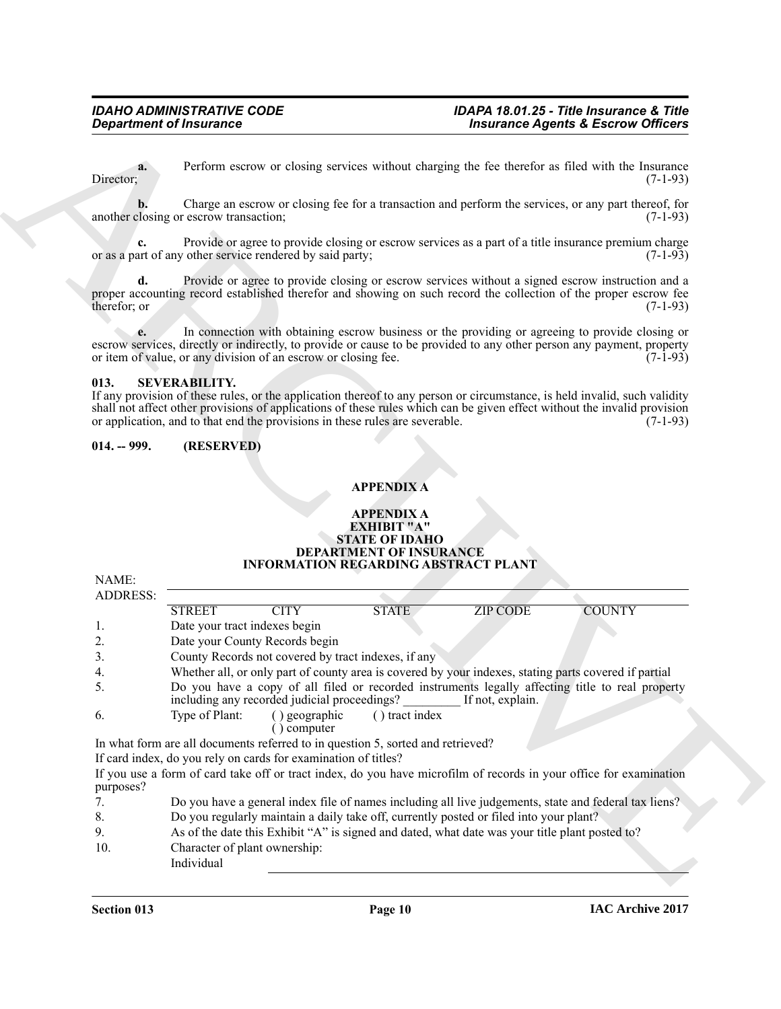#### <span id="page-9-0"></span>**013. SEVERABILITY.**

### <span id="page-9-1"></span>**014. -- 999. (RESERVED)**

#### **APPENDIX A**

#### **APPENDIX A EXHIBIT "A" STATE OF IDAHO DEPARTMENT OF INSURANCE INFORMATION REGARDING ABSTRACT PLANT**

|                    | <b>Department of Insurance</b>                                                                                                                                                                                                                                                                                                                                |                                                       |                  | <b>Insurance Agents &amp; Escrow Officers</b> |
|--------------------|---------------------------------------------------------------------------------------------------------------------------------------------------------------------------------------------------------------------------------------------------------------------------------------------------------------------------------------------------------------|-------------------------------------------------------|------------------|-----------------------------------------------|
| a.<br>Director;    | Perform escrow or closing services without charging the fee therefor as filed with the Insurance                                                                                                                                                                                                                                                              |                                                       |                  | $(7-1-93)$                                    |
|                    | Charge an escrow or closing fee for a transaction and perform the services, or any part thereof, for<br>another closing or escrow transaction;                                                                                                                                                                                                                |                                                       |                  | $(7-1-93)$                                    |
|                    | Provide or agree to provide closing or escrow services as a part of a title insurance premium charge<br>or as a part of any other service rendered by said party;                                                                                                                                                                                             |                                                       |                  | $(7-1-93)$                                    |
| d.<br>therefor; or | Provide or agree to provide closing or escrow services without a signed escrow instruction and a<br>proper accounting record established therefor and showing on such record the collection of the proper escrow fee                                                                                                                                          |                                                       |                  | $(7-1-93)$                                    |
|                    | In connection with obtaining escrow business or the providing or agreeing to provide closing or<br>escrow services, directly or indirectly, to provide or cause to be provided to any other person any payment, property<br>or item of value, or any division of an escrow or closing fee.                                                                    |                                                       |                  | $(7-1-93)$                                    |
| 013.               | <b>SEVERABILITY.</b><br>If any provision of these rules, or the application thereof to any person or circumstance, is held invalid, such validity<br>shall not affect other provisions of applications of these rules which can be given effect without the invalid provision<br>or application, and to that end the provisions in these rules are severable. |                                                       |                  | $(7-1-93)$                                    |
| $014. - 999.$      | (RESERVED)                                                                                                                                                                                                                                                                                                                                                    |                                                       |                  |                                               |
|                    |                                                                                                                                                                                                                                                                                                                                                               |                                                       |                  |                                               |
|                    |                                                                                                                                                                                                                                                                                                                                                               |                                                       |                  |                                               |
|                    |                                                                                                                                                                                                                                                                                                                                                               | <b>APPENDIX A</b><br><b>APPENDIX A</b><br>EXHIBIT "A" |                  |                                               |
|                    | <b>INFORMATION REGARDING ABSTRACT PLANT</b>                                                                                                                                                                                                                                                                                                                   | <b>STATE OF IDAHO</b><br>DEPARTMENT OF INSURANCE      |                  |                                               |
| NAME:              |                                                                                                                                                                                                                                                                                                                                                               |                                                       |                  |                                               |
| <b>ADDRESS:</b>    |                                                                                                                                                                                                                                                                                                                                                               |                                                       |                  |                                               |
|                    | <b>STREET</b><br><b>CITY</b>                                                                                                                                                                                                                                                                                                                                  | <b>STATE</b>                                          | <b>ZIP CODE</b>  | <b>COUNTY</b>                                 |
| 1.                 | Date your tract indexes begin                                                                                                                                                                                                                                                                                                                                 |                                                       |                  |                                               |
| 2.                 | Date your County Records begin                                                                                                                                                                                                                                                                                                                                |                                                       |                  |                                               |
| 3.                 | County Records not covered by tract indexes, if any                                                                                                                                                                                                                                                                                                           |                                                       |                  |                                               |
| 4.<br>5.           | Whether all, or only part of county area is covered by your indexes, stating parts covered if partial<br>Do you have a copy of all filed or recorded instruments legally affecting title to real property<br>including any recorded judicial proceedings?                                                                                                     |                                                       | If not, explain. |                                               |
| 6.                 | Type of Plant:<br>() geographic<br>() computer                                                                                                                                                                                                                                                                                                                | () tract index                                        |                  |                                               |
|                    | In what form are all documents referred to in question 5, sorted and retrieved?                                                                                                                                                                                                                                                                               |                                                       |                  |                                               |
|                    | If card index, do you rely on cards for examination of titles?                                                                                                                                                                                                                                                                                                |                                                       |                  |                                               |
| purposes?          | If you use a form of card take off or tract index, do you have microfilm of records in your office for examination                                                                                                                                                                                                                                            |                                                       |                  |                                               |
| 7.                 | Do you have a general index file of names including all live judgements, state and federal tax liens?                                                                                                                                                                                                                                                         |                                                       |                  |                                               |
| 8.<br>9.           | Do you regularly maintain a daily take off, currently posted or filed into your plant?<br>As of the date this Exhibit "A" is signed and dated, what date was your title plant posted to?                                                                                                                                                                      |                                                       |                  |                                               |

- 8. Do you regularly maintain a daily take off, currently posted or filed into your plant?
- 9. As of the date this Exhibit "A" is signed and dated, what date was your title plant posted to? 10. Character of plant ownership:
	- Individual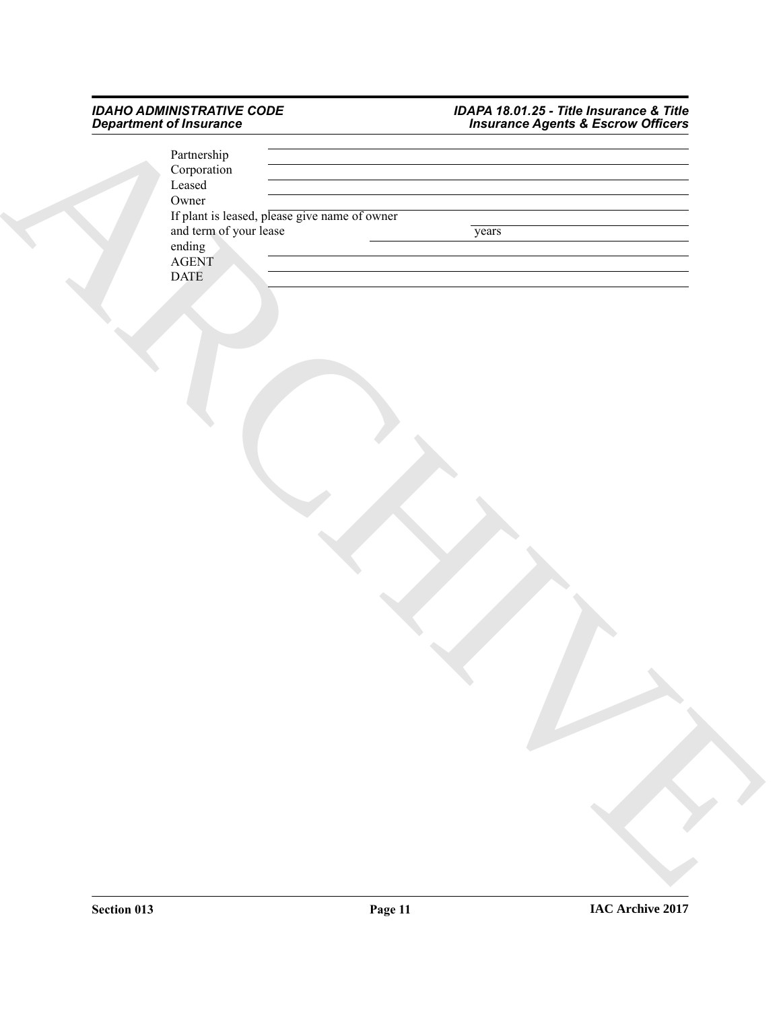#### *IDAHO ADMINISTRATIVE CODE IDAPA 18.01.25 - Title Insurance & Title Department of Insurance Insurance Agents & Escrow Officers*

| Department of Insurance                       | Insurance Agents & Escrow Officers |
|-----------------------------------------------|------------------------------------|
| Partnership                                   |                                    |
| Corporation                                   |                                    |
| $\operatorname{Leased}$                       |                                    |
| Owner                                         |                                    |
| If plant is leased, please give name of owner |                                    |
| and term of your lease                        | years                              |
| ending<br>AGENT                               |                                    |
|                                               |                                    |
| <b>DATE</b>                                   |                                    |
|                                               |                                    |
|                                               |                                    |
|                                               |                                    |
|                                               |                                    |
|                                               |                                    |
|                                               |                                    |
|                                               |                                    |
|                                               |                                    |
|                                               |                                    |
|                                               |                                    |
|                                               |                                    |
|                                               |                                    |
|                                               |                                    |
|                                               |                                    |
|                                               |                                    |
|                                               |                                    |
|                                               |                                    |
|                                               |                                    |
|                                               |                                    |
|                                               |                                    |
|                                               |                                    |
|                                               |                                    |
|                                               |                                    |
|                                               |                                    |
|                                               |                                    |
|                                               |                                    |
|                                               |                                    |
|                                               |                                    |
|                                               |                                    |
|                                               |                                    |
|                                               |                                    |
|                                               |                                    |
|                                               |                                    |
|                                               |                                    |
|                                               |                                    |
|                                               |                                    |
|                                               |                                    |
|                                               |                                    |